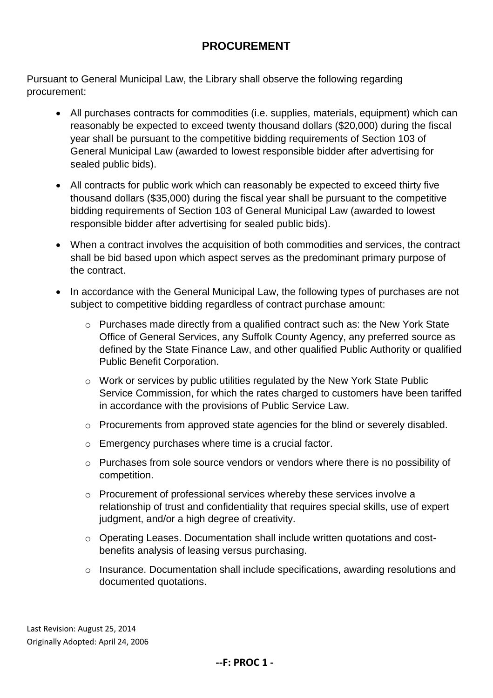## **PROCUREMENT**

Pursuant to General Municipal Law, the Library shall observe the following regarding procurement:

- All purchases contracts for commodities (i.e. supplies, materials, equipment) which can reasonably be expected to exceed twenty thousand dollars (\$20,000) during the fiscal year shall be pursuant to the competitive bidding requirements of Section 103 of General Municipal Law (awarded to lowest responsible bidder after advertising for sealed public bids).
- All contracts for public work which can reasonably be expected to exceed thirty five thousand dollars (\$35,000) during the fiscal year shall be pursuant to the competitive bidding requirements of Section 103 of General Municipal Law (awarded to lowest responsible bidder after advertising for sealed public bids).
- When a contract involves the acquisition of both commodities and services, the contract shall be bid based upon which aspect serves as the predominant primary purpose of the contract.
- In accordance with the General Municipal Law, the following types of purchases are not subject to competitive bidding regardless of contract purchase amount:
	- o Purchases made directly from a qualified contract such as: the New York State Office of General Services, any Suffolk County Agency, any preferred source as defined by the State Finance Law, and other qualified Public Authority or qualified Public Benefit Corporation.
	- o Work or services by public utilities regulated by the New York State Public Service Commission, for which the rates charged to customers have been tariffed in accordance with the provisions of Public Service Law.
	- o Procurements from approved state agencies for the blind or severely disabled.
	- o Emergency purchases where time is a crucial factor.
	- o Purchases from sole source vendors or vendors where there is no possibility of competition.
	- o Procurement of professional services whereby these services involve a relationship of trust and confidentiality that requires special skills, use of expert judgment, and/or a high degree of creativity.
	- o Operating Leases. Documentation shall include written quotations and costbenefits analysis of leasing versus purchasing.
	- o Insurance. Documentation shall include specifications, awarding resolutions and documented quotations.